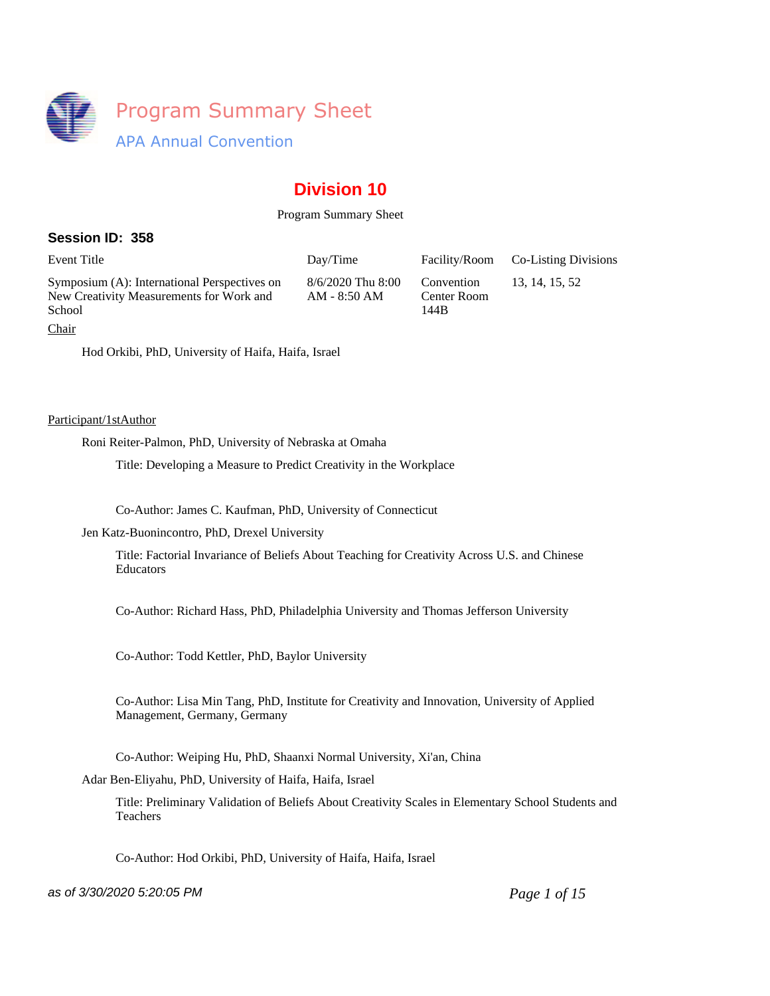

# **Division 10**

# Program Summary Sheet

# **Session ID: 358**

Symposium (A): International Perspectives on New Creativity Measurements for Work and School

8/6/2020 Thu 8:00 AM - 8:50 AM

Convention Center Room 144B

Event Title **Event Title** Day/Time Facility/Room Co-Listing Divisions

13, 14, 15, 52

Chair

Hod Orkibi, PhD, University of Haifa, Haifa, Israel

### Participant/1stAuthor

Roni Reiter-Palmon, PhD, University of Nebraska at Omaha

Title: Developing a Measure to Predict Creativity in the Workplace

Co-Author: James C. Kaufman, PhD, University of Connecticut

Jen Katz-Buonincontro, PhD, Drexel University

Title: Factorial Invariance of Beliefs About Teaching for Creativity Across U.S. and Chinese Educators

Co-Author: Richard Hass, PhD, Philadelphia University and Thomas Jefferson University

Co-Author: Todd Kettler, PhD, Baylor University

Co-Author: Lisa Min Tang, PhD, Institute for Creativity and Innovation, University of Applied Management, Germany, Germany

Co-Author: Weiping Hu, PhD, Shaanxi Normal University, Xi'an, China

Adar Ben-Eliyahu, PhD, University of Haifa, Haifa, Israel

Title: Preliminary Validation of Beliefs About Creativity Scales in Elementary School Students and Teachers

Co-Author: Hod Orkibi, PhD, University of Haifa, Haifa, Israel

as of 3/30/2020 5:20:05 PM *Page 1 of 15*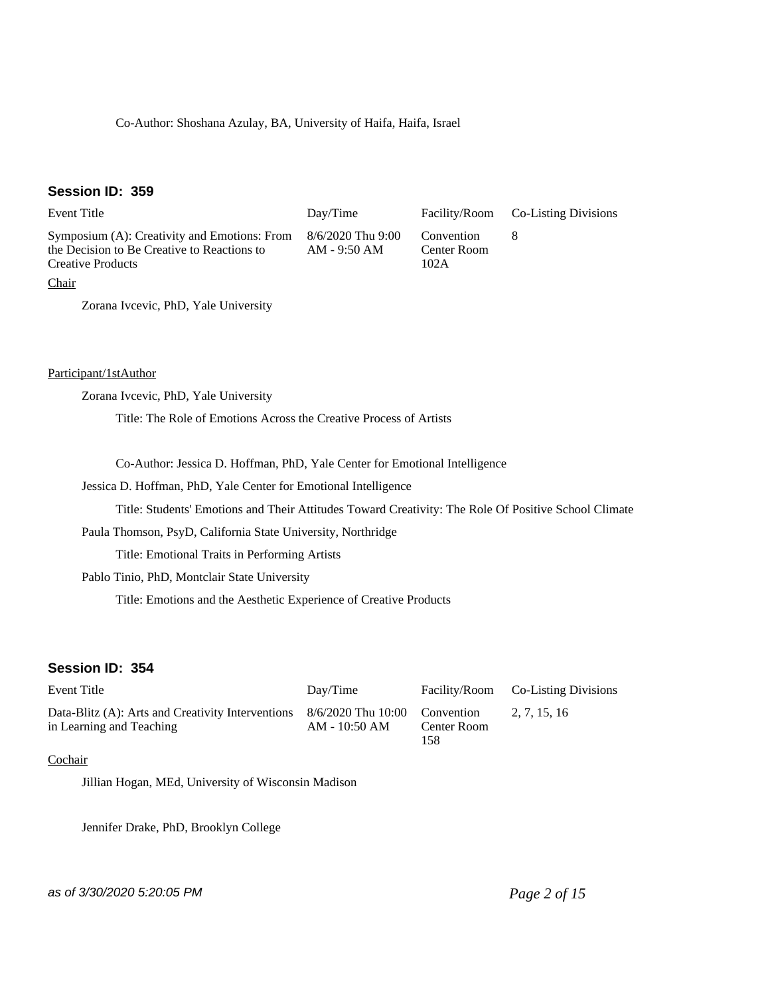Co-Author: Shoshana Azulay, BA, University of Haifa, Haifa, Israel

# **Session ID: 359**

| Event Title                                                                                                             | Day/Time                            | Facility/Room                     | <b>Co-Listing Divisions</b> |
|-------------------------------------------------------------------------------------------------------------------------|-------------------------------------|-----------------------------------|-----------------------------|
| Symposium (A): Creativity and Emotions: From<br>the Decision to Be Creative to Reactions to<br><b>Creative Products</b> | $8/6/2020$ Thu 9:00<br>AM - 9:50 AM | Convention<br>Center Room<br>102A |                             |
| Chair                                                                                                                   |                                     |                                   |                             |
| Zorana Ivcevic, PhD, Yale University                                                                                    |                                     |                                   |                             |

Participant/1stAuthor

Zorana Ivcevic, PhD, Yale University

Title: The Role of Emotions Across the Creative Process of Artists

Co-Author: Jessica D. Hoffman, PhD, Yale Center for Emotional Intelligence

Jessica D. Hoffman, PhD, Yale Center for Emotional Intelligence

Title: Students' Emotions and Their Attitudes Toward Creativity: The Role Of Positive School Climate

Paula Thomson, PsyD, California State University, Northridge

Title: Emotional Traits in Performing Artists

Pablo Tinio, PhD, Montclair State University

Title: Emotions and the Aesthetic Experience of Creative Products

## **Session ID: 354**

| Event Title                                                                   | Dav/Time                            |                                  | Facility/Room Co-Listing Divisions |
|-------------------------------------------------------------------------------|-------------------------------------|----------------------------------|------------------------------------|
| Data-Blitz (A): Arts and Creativity Interventions<br>in Learning and Teaching | 8/6/2020 Thu 10:00<br>AM - 10:50 AM | Convention<br>Center Room<br>158 | 2. 7. 15. 16                       |

# Cochair

Jillian Hogan, MEd, University of Wisconsin Madison

Jennifer Drake, PhD, Brooklyn College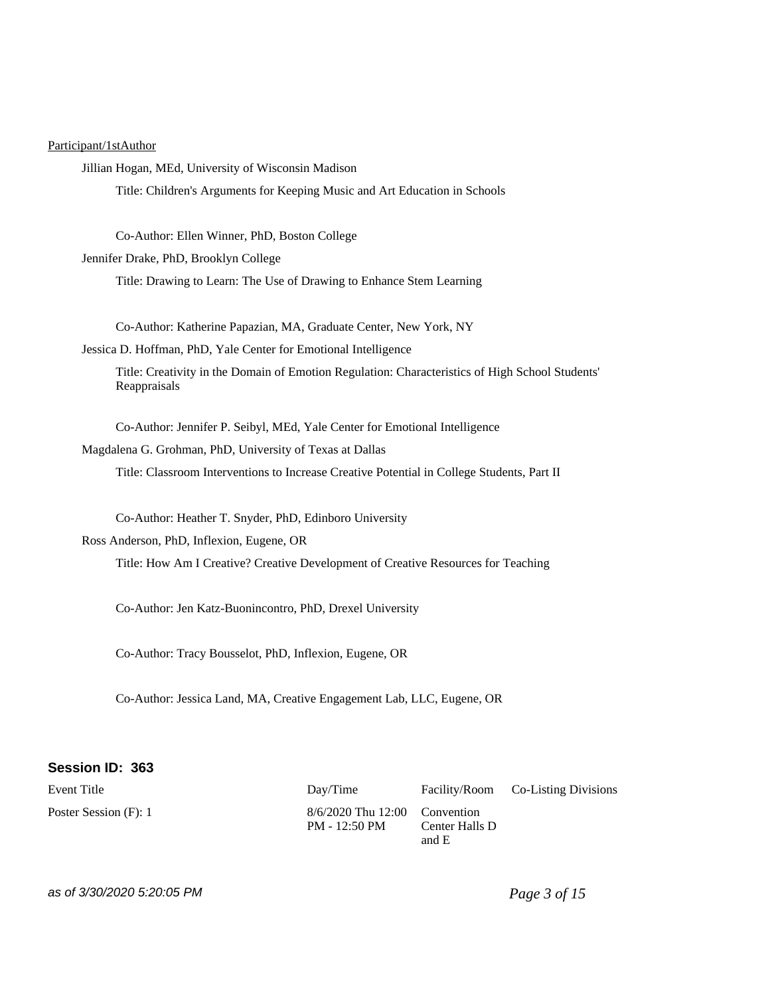#### Participant/1stAuthor

Jillian Hogan, MEd, University of Wisconsin Madison

Title: Children's Arguments for Keeping Music and Art Education in Schools

Co-Author: Ellen Winner, PhD, Boston College

Jennifer Drake, PhD, Brooklyn College

Title: Drawing to Learn: The Use of Drawing to Enhance Stem Learning

Co-Author: Katherine Papazian, MA, Graduate Center, New York, NY

Jessica D. Hoffman, PhD, Yale Center for Emotional Intelligence

Title: Creativity in the Domain of Emotion Regulation: Characteristics of High School Students' Reappraisals

Co-Author: Jennifer P. Seibyl, MEd, Yale Center for Emotional Intelligence

Magdalena G. Grohman, PhD, University of Texas at Dallas

Title: Classroom Interventions to Increase Creative Potential in College Students, Part II

Co-Author: Heather T. Snyder, PhD, Edinboro University

Ross Anderson, PhD, Inflexion, Eugene, OR

Title: How Am I Creative? Creative Development of Creative Resources for Teaching

Co-Author: Jen Katz-Buonincontro, PhD, Drexel University

Co-Author: Tracy Bousselot, PhD, Inflexion, Eugene, OR

Co-Author: Jessica Land, MA, Creative Engagement Lab, LLC, Eugene, OR

#### **Session ID: 363**

Event Title **Event Title** Day/Time Facility/Room Co-Listing Divisions Poster Session (F): 1 8/6/2020 Thu 12:00 PM - 12:50 PM and E

Convention Center Halls D

as of 3/30/2020 5:20:05 PM *Page 3 of 15*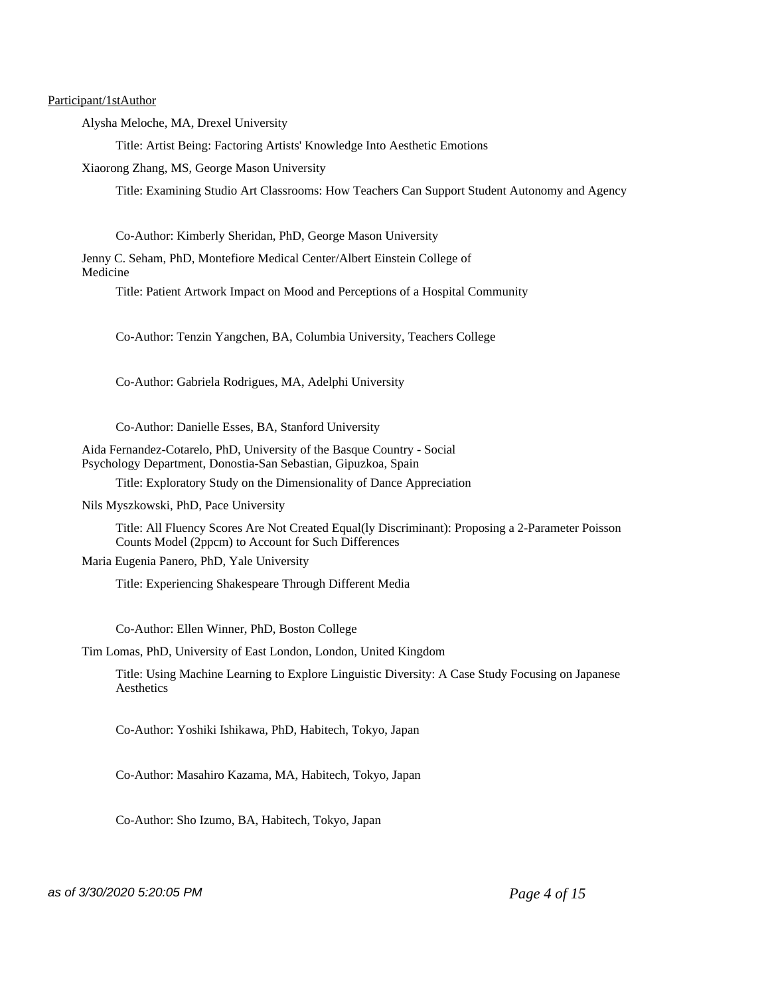Participant/1stAuthor

Alysha Meloche, MA, Drexel University

Title: Artist Being: Factoring Artists' Knowledge Into Aesthetic Emotions

Xiaorong Zhang, MS, George Mason University

Title: Examining Studio Art Classrooms: How Teachers Can Support Student Autonomy and Agency

Co-Author: Kimberly Sheridan, PhD, George Mason University

Jenny C. Seham, PhD, Montefiore Medical Center/Albert Einstein College of Medicine

Title: Patient Artwork Impact on Mood and Perceptions of a Hospital Community

Co-Author: Tenzin Yangchen, BA, Columbia University, Teachers College

Co-Author: Gabriela Rodrigues, MA, Adelphi University

Co-Author: Danielle Esses, BA, Stanford University

Aida Fernandez-Cotarelo, PhD, University of the Basque Country - Social Psychology Department, Donostia-San Sebastian, Gipuzkoa, Spain

Title: Exploratory Study on the Dimensionality of Dance Appreciation

Nils Myszkowski, PhD, Pace University

Title: All Fluency Scores Are Not Created Equal(ly Discriminant): Proposing a 2-Parameter Poisson Counts Model (2ppcm) to Account for Such Differences

Maria Eugenia Panero, PhD, Yale University

Title: Experiencing Shakespeare Through Different Media

Co-Author: Ellen Winner, PhD, Boston College

Tim Lomas, PhD, University of East London, London, United Kingdom

Title: Using Machine Learning to Explore Linguistic Diversity: A Case Study Focusing on Japanese **Aesthetics** 

Co-Author: Yoshiki Ishikawa, PhD, Habitech, Tokyo, Japan

Co-Author: Masahiro Kazama, MA, Habitech, Tokyo, Japan

Co-Author: Sho Izumo, BA, Habitech, Tokyo, Japan

as of 3/30/2020 5:20:05 PM *Page 4 of 15*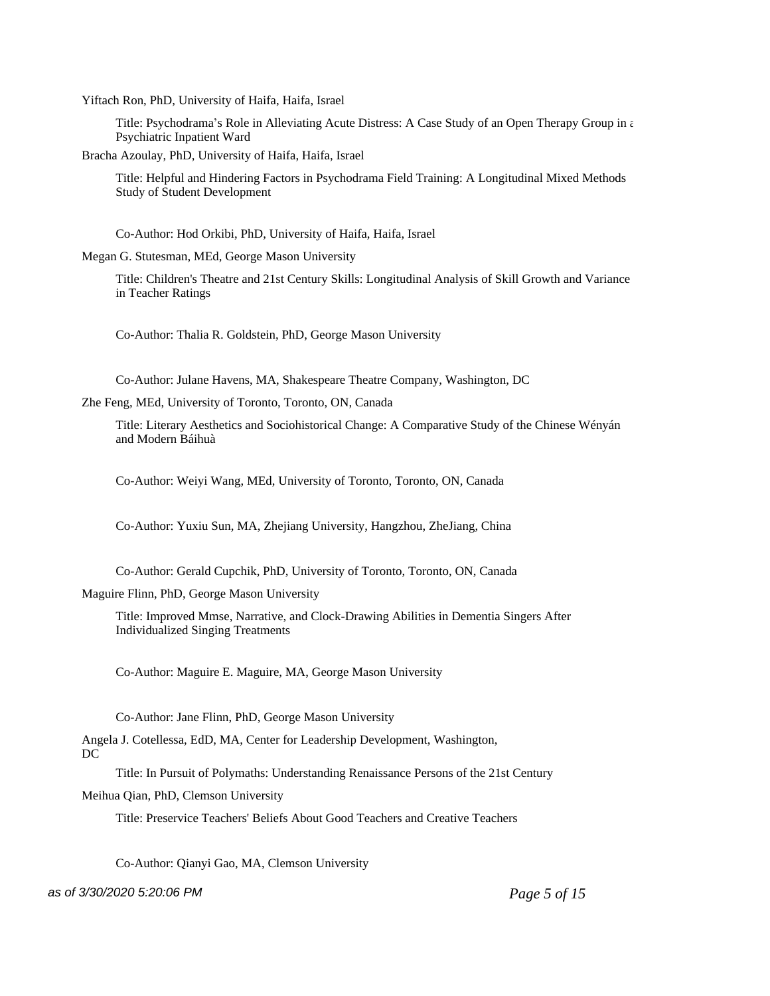Yiftach Ron, PhD, University of Haifa, Haifa, Israel

Title: Psychodrama's Role in Alleviating Acute Distress: A Case Study of an Open Therapy Group in  $\epsilon$ Psychiatric Inpatient Ward

Bracha Azoulay, PhD, University of Haifa, Haifa, Israel

Title: Helpful and Hindering Factors in Psychodrama Field Training: A Longitudinal Mixed Methods Study of Student Development

Co-Author: Hod Orkibi, PhD, University of Haifa, Haifa, Israel

Megan G. Stutesman, MEd, George Mason University

Title: Children's Theatre and 21st Century Skills: Longitudinal Analysis of Skill Growth and Variance in Teacher Ratings

Co-Author: Thalia R. Goldstein, PhD, George Mason University

Co-Author: Julane Havens, MA, Shakespeare Theatre Company, Washington, DC

Zhe Feng, MEd, University of Toronto, Toronto, ON, Canada

Title: Literary Aesthetics and Sociohistorical Change: A Comparative Study of the Chinese Wényán and Modern Báihuà

Co-Author: Weiyi Wang, MEd, University of Toronto, Toronto, ON, Canada

Co-Author: Yuxiu Sun, MA, Zhejiang University, Hangzhou, ZheJiang, China

Co-Author: Gerald Cupchik, PhD, University of Toronto, Toronto, ON, Canada

Maguire Flinn, PhD, George Mason University

Title: Improved Mmse, Narrative, and Clock-Drawing Abilities in Dementia Singers After Individualized Singing Treatments

Co-Author: Maguire E. Maguire, MA, George Mason University

Co-Author: Jane Flinn, PhD, George Mason University

Angela J. Cotellessa, EdD, MA, Center for Leadership Development, Washington, DC

Title: In Pursuit of Polymaths: Understanding Renaissance Persons of the 21st Century

Meihua Qian, PhD, Clemson University

Title: Preservice Teachers' Beliefs About Good Teachers and Creative Teachers

Co-Author: Qianyi Gao, MA, Clemson University

as of 3/30/2020 5:20:06 PM *Page 5 of 15*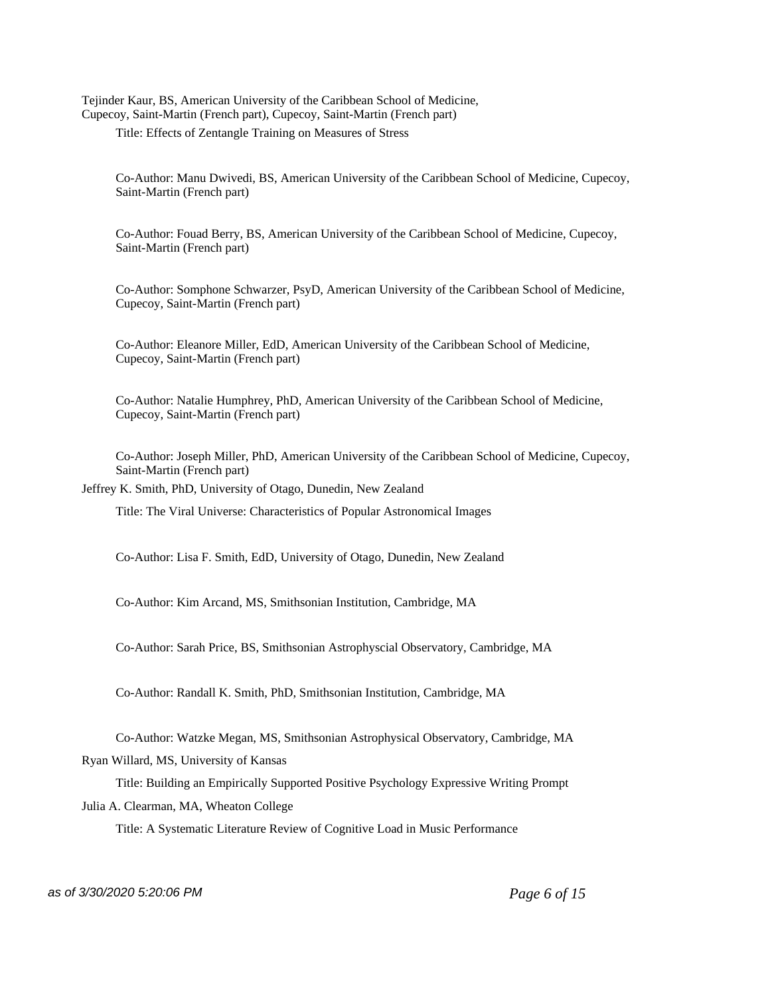Tejinder Kaur, BS, American University of the Caribbean School of Medicine, Cupecoy, Saint-Martin (French part), Cupecoy, Saint-Martin (French part)

Title: Effects of Zentangle Training on Measures of Stress

Co-Author: Manu Dwivedi, BS, American University of the Caribbean School of Medicine, Cupecoy, Saint-Martin (French part)

Co-Author: Fouad Berry, BS, American University of the Caribbean School of Medicine, Cupecoy, Saint-Martin (French part)

Co-Author: Somphone Schwarzer, PsyD, American University of the Caribbean School of Medicine, Cupecoy, Saint-Martin (French part)

Co-Author: Eleanore Miller, EdD, American University of the Caribbean School of Medicine, Cupecoy, Saint-Martin (French part)

Co-Author: Natalie Humphrey, PhD, American University of the Caribbean School of Medicine, Cupecoy, Saint-Martin (French part)

Co-Author: Joseph Miller, PhD, American University of the Caribbean School of Medicine, Cupecoy, Saint-Martin (French part)

Jeffrey K. Smith, PhD, University of Otago, Dunedin, New Zealand

Title: The Viral Universe: Characteristics of Popular Astronomical Images

Co-Author: Lisa F. Smith, EdD, University of Otago, Dunedin, New Zealand

Co-Author: Kim Arcand, MS, Smithsonian Institution, Cambridge, MA

Co-Author: Sarah Price, BS, Smithsonian Astrophyscial Observatory, Cambridge, MA

Co-Author: Randall K. Smith, PhD, Smithsonian Institution, Cambridge, MA

Co-Author: Watzke Megan, MS, Smithsonian Astrophysical Observatory, Cambridge, MA Ryan Willard, MS, University of Kansas

Title: Building an Empirically Supported Positive Psychology Expressive Writing Prompt Julia A. Clearman, MA, Wheaton College

Title: A Systematic Literature Review of Cognitive Load in Music Performance

as of 3/30/2020 5:20:06 PM *Page 6 of 15*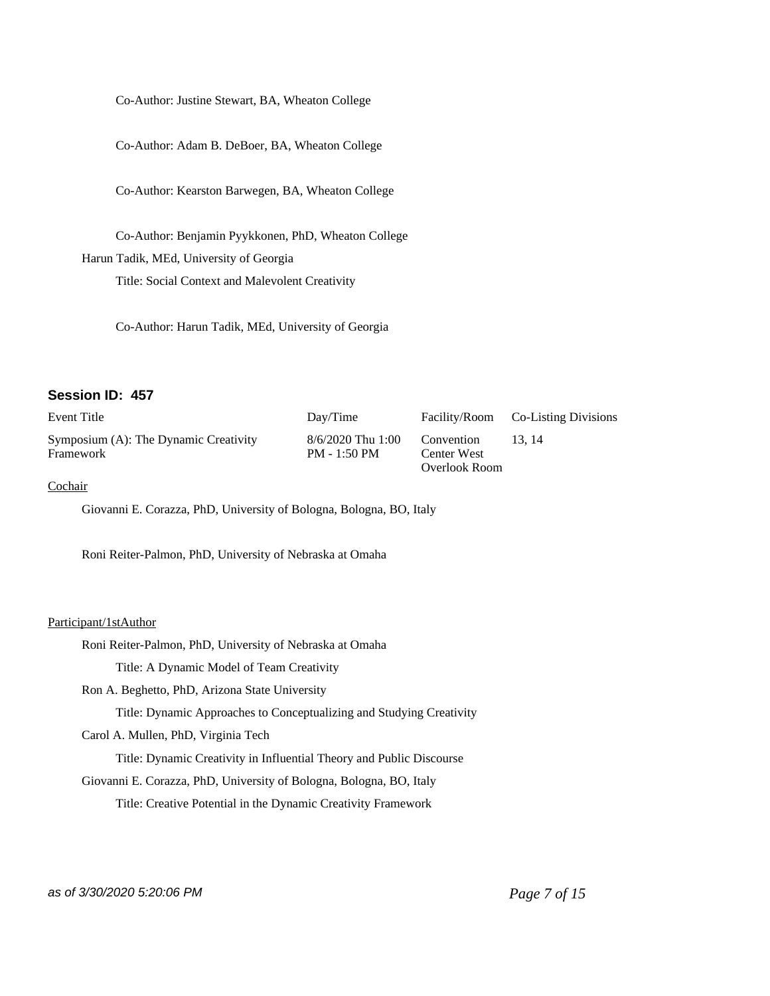Co-Author: Justine Stewart, BA, Wheaton College

Co-Author: Adam B. DeBoer, BA, Wheaton College

Co-Author: Kearston Barwegen, BA, Wheaton College

Co-Author: Benjamin Pyykkonen, PhD, Wheaton College Harun Tadik, MEd, University of Georgia

Title: Social Context and Malevolent Creativity

Co-Author: Harun Tadik, MEd, University of Georgia

### **Session ID: 457**

| Event Title                                        | Day/Time                            |                                            | Facility/Room Co-Listing Divisions |
|----------------------------------------------------|-------------------------------------|--------------------------------------------|------------------------------------|
| Symposium (A): The Dynamic Creativity<br>Framework | 8/6/2020 Thu 1:00<br>$PM - 1:50 PM$ | Convention<br>Center West<br>Overlook Room | 13.14                              |

# **Cochair**

Giovanni E. Corazza, PhD, University of Bologna, Bologna, BO, Italy

Roni Reiter-Palmon, PhD, University of Nebraska at Omaha

#### Participant/1stAuthor

Roni Reiter-Palmon, PhD, University of Nebraska at Omaha

Title: A Dynamic Model of Team Creativity

Ron A. Beghetto, PhD, Arizona State University

Title: Dynamic Approaches to Conceptualizing and Studying Creativity

Carol A. Mullen, PhD, Virginia Tech

Title: Dynamic Creativity in Influential Theory and Public Discourse

Giovanni E. Corazza, PhD, University of Bologna, Bologna, BO, Italy

Title: Creative Potential in the Dynamic Creativity Framework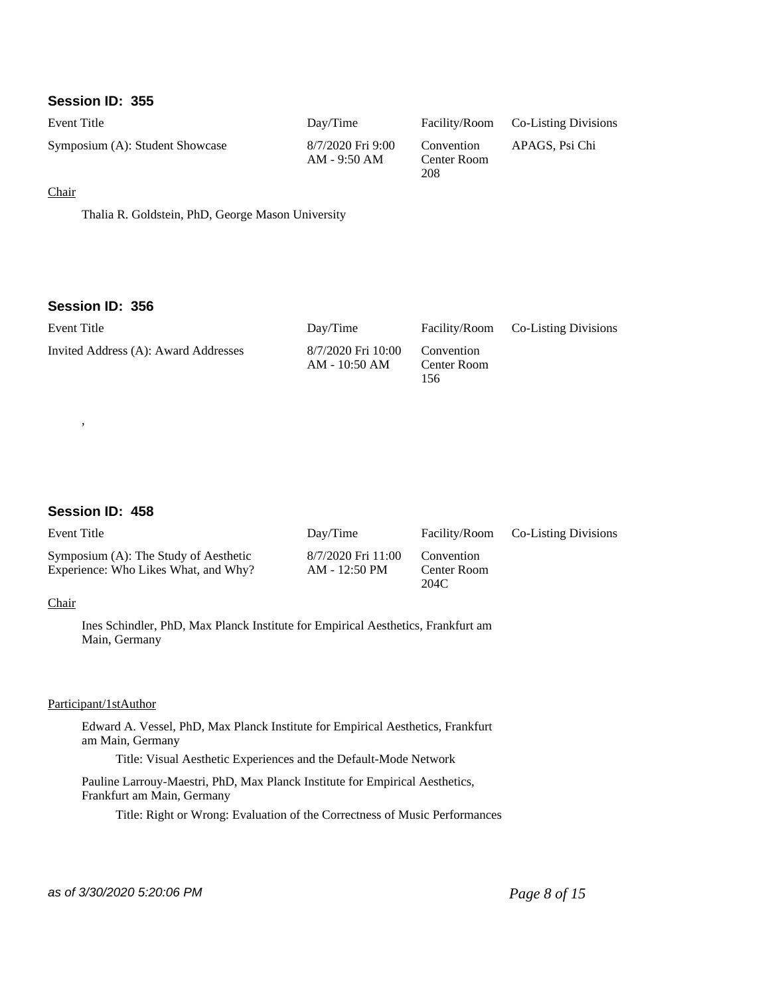# **Session ID: 355**

| Event Title                     | Day/Time                          |                                  | Facility/Room Co-Listing Divisions |
|---------------------------------|-----------------------------------|----------------------------------|------------------------------------|
| Symposium (A): Student Showcase | 8/7/2020 Fri 9:00<br>AM - 9:50 AM | Convention<br>Center Room<br>208 | APAGS, Psi Chi                     |

## **Chair**

Thalia R. Goldstein, PhD, George Mason University

# **Session ID: 356**

| Event Title                          | Day/Time                              |                                  | Facility/Room Co-Listing Divisions |
|--------------------------------------|---------------------------------------|----------------------------------|------------------------------------|
| Invited Address (A): Award Addresses | 8/7/2020 Fri 10:00<br>$AM - 10:50 AM$ | Convention<br>Center Room<br>156 |                                    |

# **Session ID: 458**

,

| Event Title                                                                   | Day/Time                            |                                   | Facility/Room Co-Listing Divisions |
|-------------------------------------------------------------------------------|-------------------------------------|-----------------------------------|------------------------------------|
| Symposium (A): The Study of Aesthetic<br>Experience: Who Likes What, and Why? | 8/7/2020 Fri 11:00<br>AM - 12:50 PM | Convention<br>Center Room<br>204C |                                    |

# Chair

Ines Schindler, PhD, Max Planck Institute for Empirical Aesthetics, Frankfurt am Main, Germany

### Participant/1stAuthor

Edward A. Vessel, PhD, Max Planck Institute for Empirical Aesthetics, Frankfurt am Main, Germany

Title: Visual Aesthetic Experiences and the Default-Mode Network

Pauline Larrouy-Maestri, PhD, Max Planck Institute for Empirical Aesthetics, Frankfurt am Main, Germany

Title: Right or Wrong: Evaluation of the Correctness of Music Performances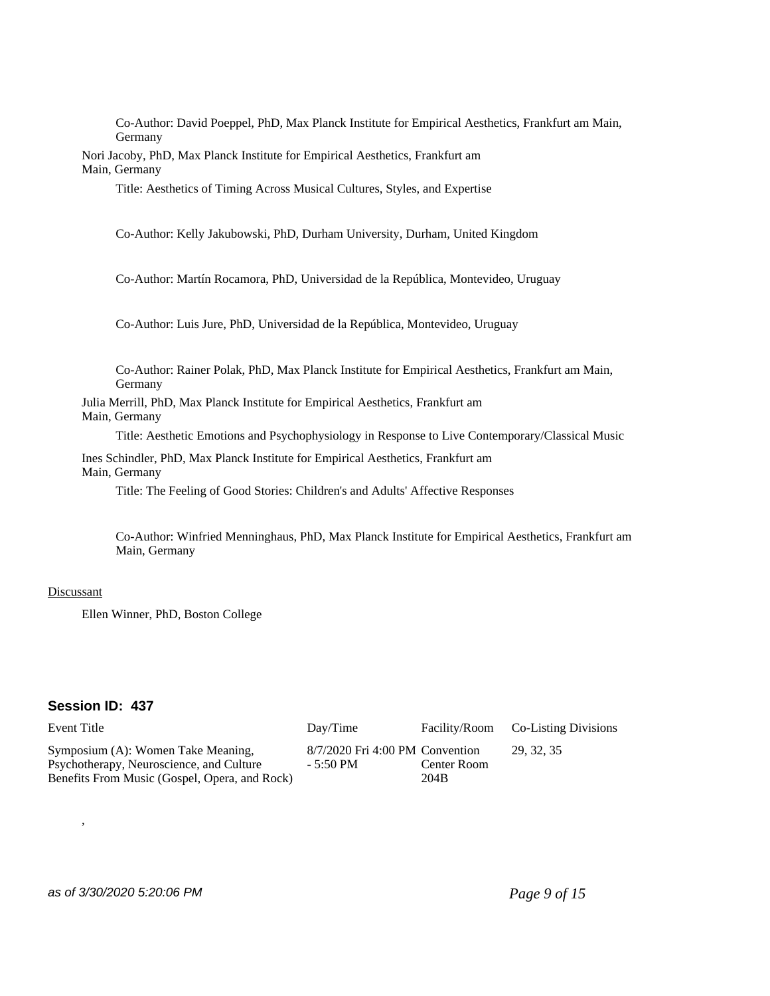Co-Author: David Poeppel, PhD, Max Planck Institute for Empirical Aesthetics, Frankfurt am Main, Germany

Nori Jacoby, PhD, Max Planck Institute for Empirical Aesthetics, Frankfurt am Main, Germany

Title: Aesthetics of Timing Across Musical Cultures, Styles, and Expertise

Co-Author: Kelly Jakubowski, PhD, Durham University, Durham, United Kingdom

Co-Author: Martín Rocamora, PhD, Universidad de la República, Montevideo, Uruguay

Co-Author: Luis Jure, PhD, Universidad de la República, Montevideo, Uruguay

Co-Author: Rainer Polak, PhD, Max Planck Institute for Empirical Aesthetics, Frankfurt am Main, Germany

Julia Merrill, PhD, Max Planck Institute for Empirical Aesthetics, Frankfurt am Main, Germany

Title: Aesthetic Emotions and Psychophysiology in Response to Live Contemporary/Classical Music

Ines Schindler, PhD, Max Planck Institute for Empirical Aesthetics, Frankfurt am Main, Germany

Title: The Feeling of Good Stories: Children's and Adults' Affective Responses

Co-Author: Winfried Menninghaus, PhD, Max Planck Institute for Empirical Aesthetics, Frankfurt am Main, Germany

#### **Discussant**

Ellen Winner, PhD, Boston College

# **Session ID: 437**

,

| Event Title                                                                                                                     | Day/Time                                       |                     | Facility/Room Co-Listing Divisions |
|---------------------------------------------------------------------------------------------------------------------------------|------------------------------------------------|---------------------|------------------------------------|
| Symposium (A): Women Take Meaning,<br>Psychotherapy, Neuroscience, and Culture<br>Benefits From Music (Gospel, Opera, and Rock) | $8/7/2020$ Fri 4:00 PM Convention<br>- 5:50 PM | Center Room<br>204B | 29.32.35                           |

# as of 3/30/2020 5:20:06 PM *Page 9 of 15*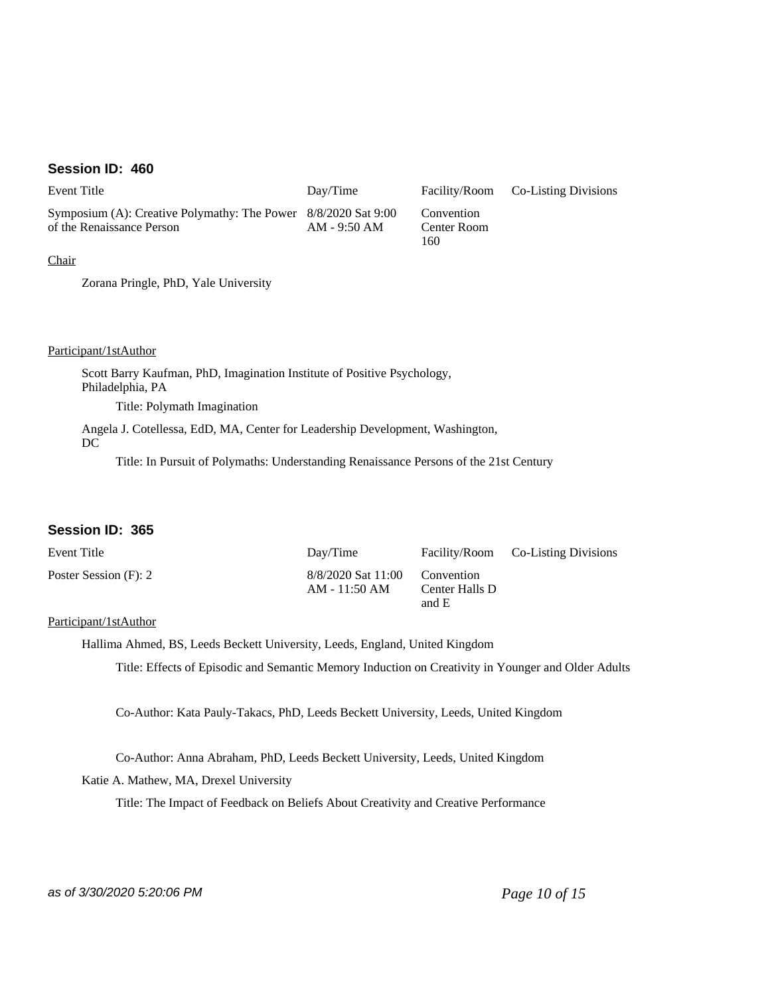# **Session ID: 460**

| Event Title                                                                                 | Day/Time     |                                  | Facility/Room Co-Listing Divisions |
|---------------------------------------------------------------------------------------------|--------------|----------------------------------|------------------------------------|
| Symposium (A): Creative Polymathy: The Power 8/8/2020 Sat 9:00<br>of the Renaissance Person | AM - 9:50 AM | Convention<br>Center Room<br>160 |                                    |

**Chair** 

Zorana Pringle, PhD, Yale University

Participant/1stAuthor

Scott Barry Kaufman, PhD, Imagination Institute of Positive Psychology, Philadelphia, PA

Title: Polymath Imagination

Angela J. Cotellessa, EdD, MA, Center for Leadership Development, Washington, DC

Title: In Pursuit of Polymaths: Understanding Renaissance Persons of the 21st Century

# **Session ID: 365**

| Event Title           | Day/Time                            |                                       | Facility/Room Co-Listing Divisions |
|-----------------------|-------------------------------------|---------------------------------------|------------------------------------|
| Poster Session (F): 2 | 8/8/2020 Sat 11:00<br>AM - 11:50 AM | Convention<br>Center Halls D<br>and E |                                    |

#### Participant/1stAuthor

Hallima Ahmed, BS, Leeds Beckett University, Leeds, England, United Kingdom

Title: Effects of Episodic and Semantic Memory Induction on Creativity in Younger and Older Adults

Co-Author: Kata Pauly-Takacs, PhD, Leeds Beckett University, Leeds, United Kingdom

Co-Author: Anna Abraham, PhD, Leeds Beckett University, Leeds, United Kingdom

Katie A. Mathew, MA, Drexel University

Title: The Impact of Feedback on Beliefs About Creativity and Creative Performance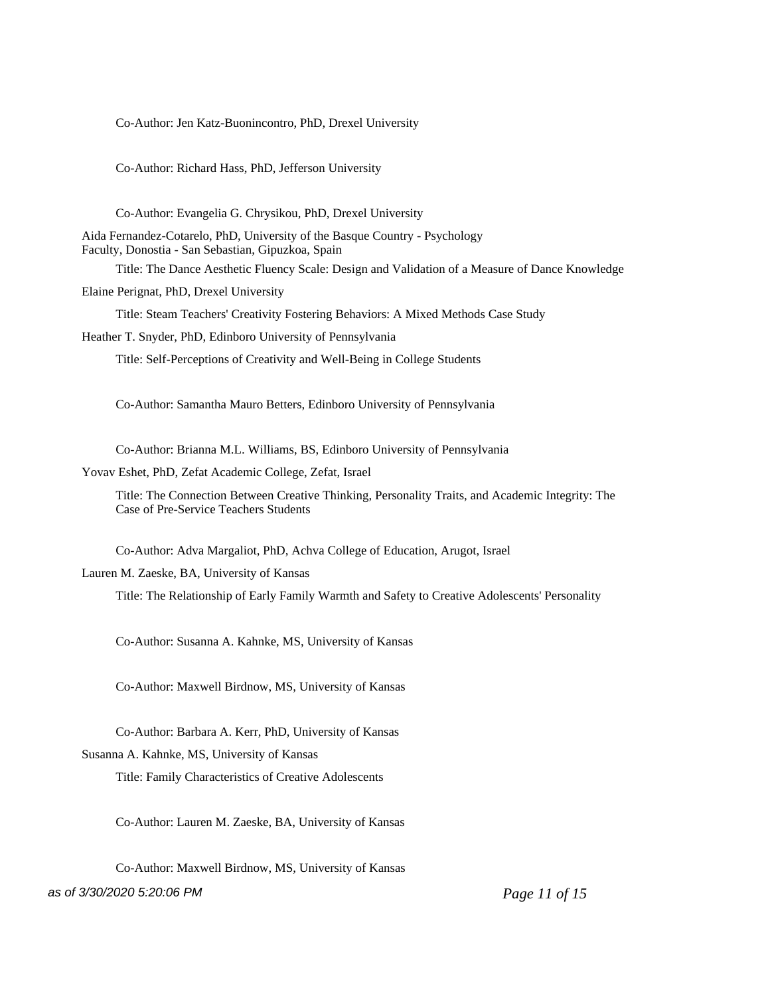Co-Author: Jen Katz-Buonincontro, PhD, Drexel University

Co-Author: Richard Hass, PhD, Jefferson University

Co-Author: Evangelia G. Chrysikou, PhD, Drexel University

Aida Fernandez-Cotarelo, PhD, University of the Basque Country - Psychology Faculty, Donostia - San Sebastian, Gipuzkoa, Spain

Title: The Dance Aesthetic Fluency Scale: Design and Validation of a Measure of Dance Knowledge

Elaine Perignat, PhD, Drexel University

Title: Steam Teachers' Creativity Fostering Behaviors: A Mixed Methods Case Study

Heather T. Snyder, PhD, Edinboro University of Pennsylvania

Title: Self-Perceptions of Creativity and Well-Being in College Students

Co-Author: Samantha Mauro Betters, Edinboro University of Pennsylvania

Co-Author: Brianna M.L. Williams, BS, Edinboro University of Pennsylvania

Yovav Eshet, PhD, Zefat Academic College, Zefat, Israel

Title: The Connection Between Creative Thinking, Personality Traits, and Academic Integrity: The Case of Pre-Service Teachers Students

Co-Author: Adva Margaliot, PhD, Achva College of Education, Arugot, Israel

Lauren M. Zaeske, BA, University of Kansas

Title: The Relationship of Early Family Warmth and Safety to Creative Adolescents' Personality

Co-Author: Susanna A. Kahnke, MS, University of Kansas

Co-Author: Maxwell Birdnow, MS, University of Kansas

Co-Author: Barbara A. Kerr, PhD, University of Kansas

Susanna A. Kahnke, MS, University of Kansas

Title: Family Characteristics of Creative Adolescents

Co-Author: Lauren M. Zaeske, BA, University of Kansas

Co-Author: Maxwell Birdnow, MS, University of Kansas

as of 3/30/2020 5:20:06 PM *Page 11 of 15*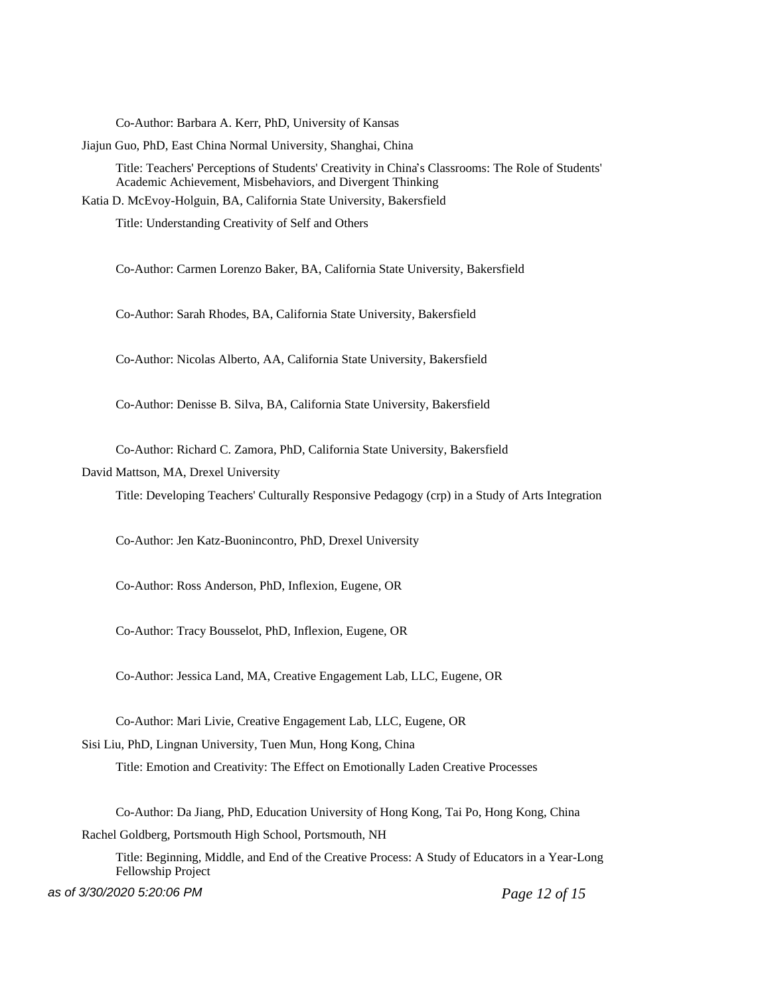Co-Author: Barbara A. Kerr, PhD, University of Kansas

Jiajun Guo, PhD, East China Normal University, Shanghai, China

Title: Teachers' Perceptions of Students' Creativity in China's Classrooms: The Role of Students' Academic Achievement, Misbehaviors, and Divergent Thinking

Katia D. McEvoy-Holguin, BA, California State University, Bakersfield

Title: Understanding Creativity of Self and Others

Co-Author: Carmen Lorenzo Baker, BA, California State University, Bakersfield

Co-Author: Sarah Rhodes, BA, California State University, Bakersfield

Co-Author: Nicolas Alberto, AA, California State University, Bakersfield

Co-Author: Denisse B. Silva, BA, California State University, Bakersfield

Co-Author: Richard C. Zamora, PhD, California State University, Bakersfield

David Mattson, MA, Drexel University

Title: Developing Teachers' Culturally Responsive Pedagogy (crp) in a Study of Arts Integration

Co-Author: Jen Katz-Buonincontro, PhD, Drexel University

Co-Author: Ross Anderson, PhD, Inflexion, Eugene, OR

Co-Author: Tracy Bousselot, PhD, Inflexion, Eugene, OR

Co-Author: Jessica Land, MA, Creative Engagement Lab, LLC, Eugene, OR

Co-Author: Mari Livie, Creative Engagement Lab, LLC, Eugene, OR

Sisi Liu, PhD, Lingnan University, Tuen Mun, Hong Kong, China

Title: Emotion and Creativity: The Effect on Emotionally Laden Creative Processes

Co-Author: Da Jiang, PhD, Education University of Hong Kong, Tai Po, Hong Kong, China Rachel Goldberg, Portsmouth High School, Portsmouth, NH

Title: Beginning, Middle, and End of the Creative Process: A Study of Educators in a Year-Long Fellowship Project

as of 3/30/2020 5:20:06 PM *Page 12 of 15*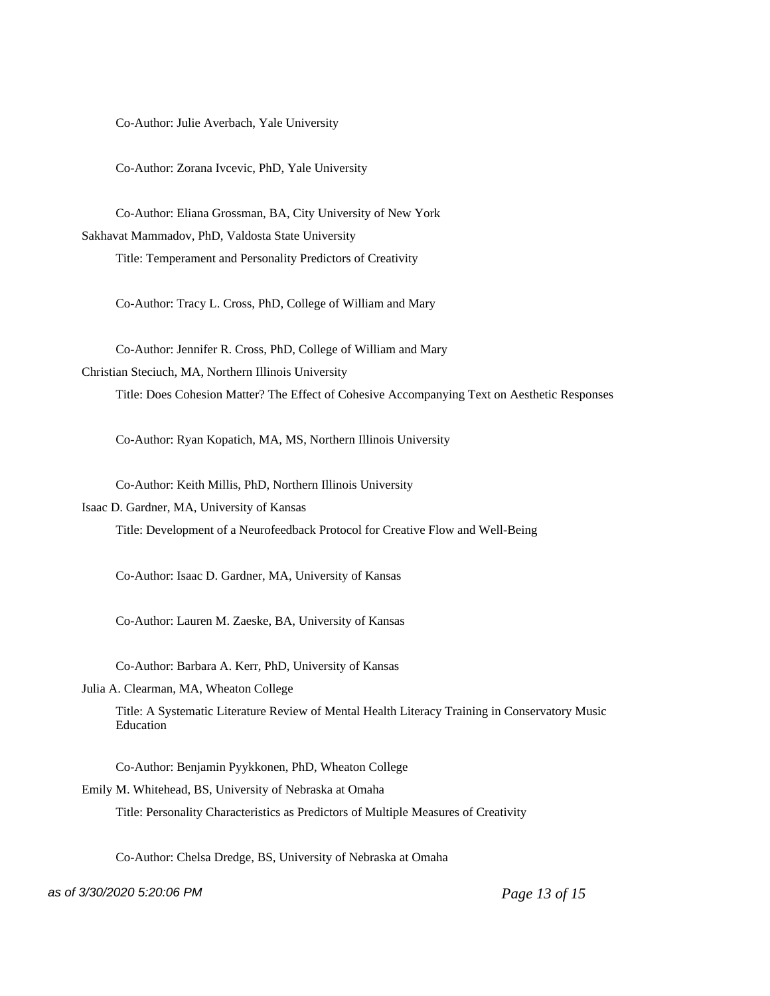Co-Author: Julie Averbach, Yale University

Co-Author: Zorana Ivcevic, PhD, Yale University

Co-Author: Eliana Grossman, BA, City University of New York Sakhavat Mammadov, PhD, Valdosta State University Title: Temperament and Personality Predictors of Creativity

Co-Author: Tracy L. Cross, PhD, College of William and Mary

Co-Author: Jennifer R. Cross, PhD, College of William and Mary Christian Steciuch, MA, Northern Illinois University Title: Does Cohesion Matter? The Effect of Cohesive Accompanying Text on Aesthetic Responses

Co-Author: Ryan Kopatich, MA, MS, Northern Illinois University

Co-Author: Keith Millis, PhD, Northern Illinois University

Isaac D. Gardner, MA, University of Kansas

Title: Development of a Neurofeedback Protocol for Creative Flow and Well-Being

Co-Author: Isaac D. Gardner, MA, University of Kansas

Co-Author: Lauren M. Zaeske, BA, University of Kansas

Co-Author: Barbara A. Kerr, PhD, University of Kansas

Julia A. Clearman, MA, Wheaton College

Title: A Systematic Literature Review of Mental Health Literacy Training in Conservatory Music Education

Co-Author: Benjamin Pyykkonen, PhD, Wheaton College

Emily M. Whitehead, BS, University of Nebraska at Omaha

Title: Personality Characteristics as Predictors of Multiple Measures of Creativity

Co-Author: Chelsa Dredge, BS, University of Nebraska at Omaha

as of 3/30/2020 5:20:06 PM *Page 13 of 15*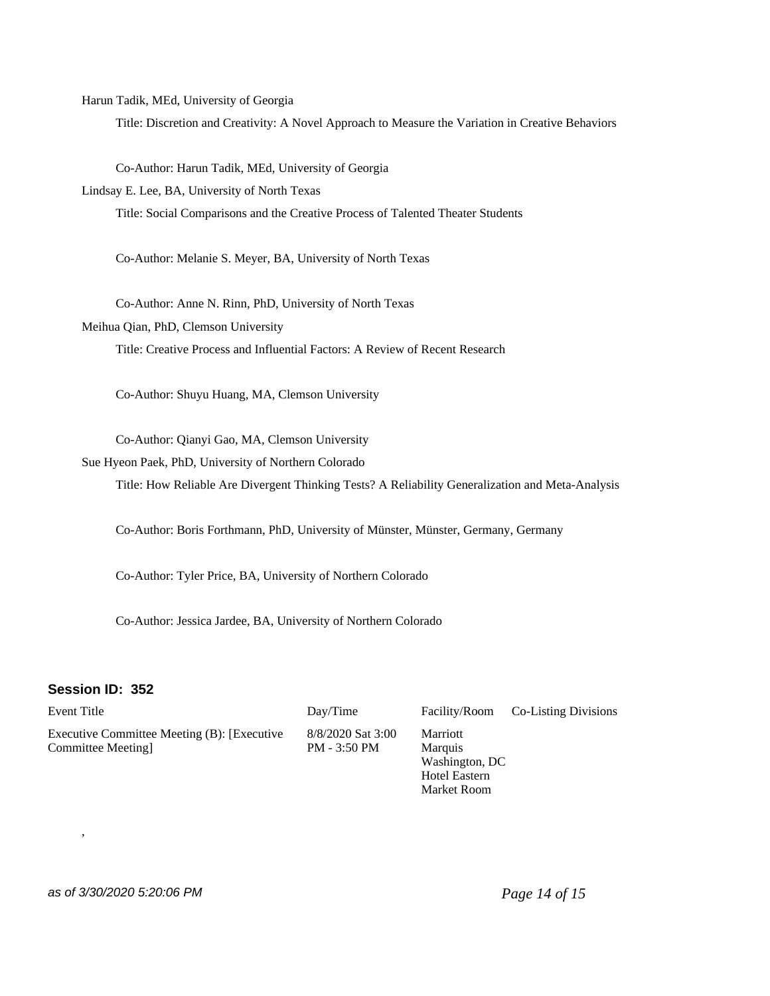Harun Tadik, MEd, University of Georgia

Title: Discretion and Creativity: A Novel Approach to Measure the Variation in Creative Behaviors

Co-Author: Harun Tadik, MEd, University of Georgia

Lindsay E. Lee, BA, University of North Texas

Title: Social Comparisons and the Creative Process of Talented Theater Students

Co-Author: Melanie S. Meyer, BA, University of North Texas

Co-Author: Anne N. Rinn, PhD, University of North Texas

Meihua Qian, PhD, Clemson University

Title: Creative Process and Influential Factors: A Review of Recent Research

Co-Author: Shuyu Huang, MA, Clemson University

Co-Author: Qianyi Gao, MA, Clemson University

Sue Hyeon Paek, PhD, University of Northern Colorado

Title: How Reliable Are Divergent Thinking Tests? A Reliability Generalization and Meta-Analysis

Co-Author: Boris Forthmann, PhD, University of Münster, Münster, Germany, Germany

Co-Author: Tyler Price, BA, University of Northern Colorado

Co-Author: Jessica Jardee, BA, University of Northern Colorado

### **Session ID: 352**

,

Event Title **Event Title** Day/Time Facility/Room Co-Listing Divisions Executive Committee Meeting (B): [Executive Committee Meeting] 8/8/2020 Sat 3:00 PM - 3:50 PM Marriott Marquis Washington, DC Hotel Eastern

# as of 3/30/2020 5:20:06 PM *Page 14 of 15*

Market Room